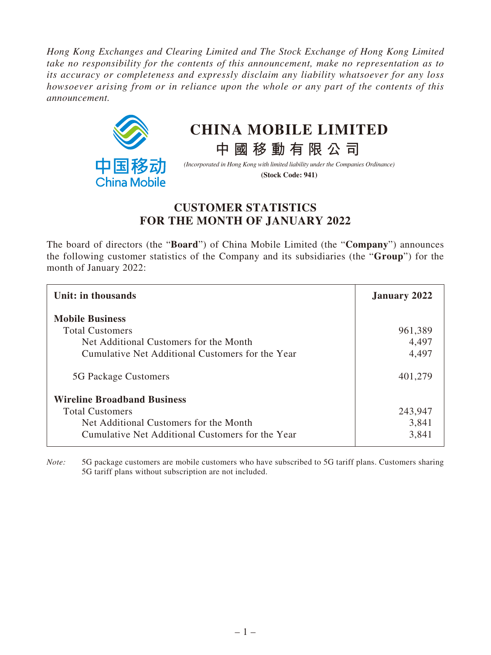*Hong Kong Exchanges and Clearing Limited and The Stock Exchange of Hong Kong Limited take no responsibility for the contents of this announcement, make no representation as to its accuracy or completeness and expressly disclaim any liability whatsoever for any loss howsoever arising from or in reliance upon the whole or any part of the contents of this announcement.*



## **CHINA MOBILE LIMITED**

*(Incorporated in Hong Kong with limited liability under the Companies Ordinance)*

**中國移動有限公司**

**(Stock Code: 941)**

## **CUSTOMER STATISTICS FOR THE MONTH OF JANUARY 2022**

The board of directors (the "**Board**") of China Mobile Limited (the "**Company**") announces the following customer statistics of the Company and its subsidiaries (the "**Group**") for the month of January 2022:

| Unit: in thousands                               | <b>January 2022</b> |
|--------------------------------------------------|---------------------|
| <b>Mobile Business</b>                           |                     |
| <b>Total Customers</b>                           | 961,389             |
| Net Additional Customers for the Month           | 4,497               |
| Cumulative Net Additional Customers for the Year | 4,497               |
| 5G Package Customers                             | 401,279             |
| <b>Wireline Broadband Business</b>               |                     |
| <b>Total Customers</b>                           | 243,947             |
| Net Additional Customers for the Month           | 3,841               |
| Cumulative Net Additional Customers for the Year | 3,841               |

*Note:* 5G package customers are mobile customers who have subscribed to 5G tariff plans. Customers sharing 5G tariff plans without subscription are not included.